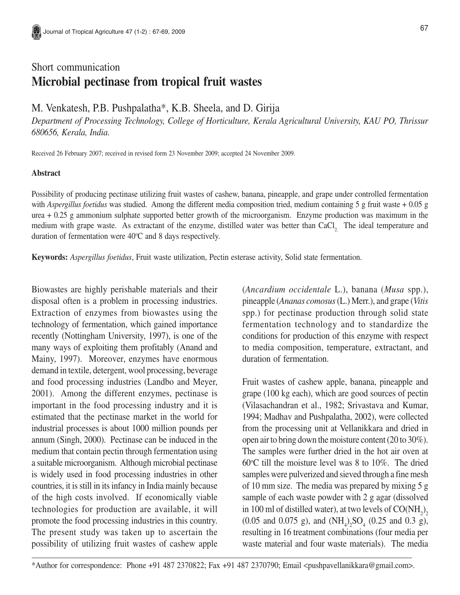## Short communication **Microbial pectinase from tropical fruit wastes**

M. Venkatesh, P.B. Pushpalatha\*, K.B. Sheela, and D. Girija

*Department of Processing Technology, College of Horticulture, Kerala Agricultural University, KAU PO, Thrissur 680656, Kerala, India.*

Received 26 February 2007; received in revised form 23 November 2009; accepted 24 November 2009.

## **Abstract**

Possibility of producing pectinase utilizing fruit wastes of cashew, banana, pineapple, and grape under controlled fermentation with *Aspergillus foetidus* was studied. Among the different media composition tried, medium containing 5 g fruit waste + 0.05 g urea + 0.25 g ammonium sulphate supported better growth of the microorganism. Enzyme production was maximum in the medium with grape waste. As extractant of the enzyme, distilled water was better than CaCl<sub>2</sub>. The ideal temperature and duration of fermentation were  $40^{\circ}$ C and 8 days respectively.

**Keywords:** *Aspergillus foetidus*, Fruit waste utilization, Pectin esterase activity, Solid state fermentation.

Biowastes are highly perishable materials and their disposal often is a problem in processing industries. Extraction of enzymes from biowastes using the technology of fermentation, which gained importance recently (Nottingham University, 1997), is one of the many ways of exploiting them profitably (Anand and Mainy, 1997). Moreover, enzymes have enormous demand in textile, detergent, wool processing, beverage and food processing industries (Landbo and Meyer, 2001). Among the different enzymes, pectinase is important in the food processing industry and it is estimated that the pectinase market in the world for industrial processes is about 1000 million pounds per annum (Singh, 2000). Pectinase can be induced in the medium that contain pectin through fermentation using a suitable microorganism. Although microbial pectinase is widely used in food processing industries in other countries, it is still in its infancy in India mainly because of the high costs involved. If economically viable technologies for production are available, it will promote the food processing industries in this country. The present study was taken up to ascertain the possibility of utilizing fruit wastes of cashew apple

(*Ancardium occidentale* L.), banana (*Musa* spp.), pineapple (*Ananas comosus* (L.) Merr.), and grape (*Vitis* spp.) for pectinase production through solid state fermentation technology and to standardize the conditions for production of this enzyme with respect to media composition, temperature, extractant, and duration of fermentation.

Fruit wastes of cashew apple, banana, pineapple and grape (100 kg each), which are good sources of pectin (Vilasachandran et al., 1982; Srivastava and Kumar, 1994; Madhav and Pushpalatha, 2002), were collected from the processing unit at Vellanikkara and dried in open air to bring down the moisture content (20 to 30%). The samples were further dried in the hot air oven at 60 $\degree$ C till the moisture level was 8 to 10%. The dried samples were pulverized and sieved through a fine mesh of 10 mm size. The media was prepared by mixing 5 g sample of each waste powder with 2 g agar (dissolved in 100 ml of distilled water), at two levels of  $\mathrm{CO(NH}_2\text{)}_2$  $(0.05 \text{ and } 0.075 \text{ g})$ , and  $(NH_4)_2SO_4$   $(0.25 \text{ and } 0.3 \text{ g})$ , resulting in 16 treatment combinations (four media per waste material and four waste materials). The media

\*Author for correspondence: Phone +91 487 2370822; Fax +91 487 2370790; Email <pushpavellanikkara@gmail.com>.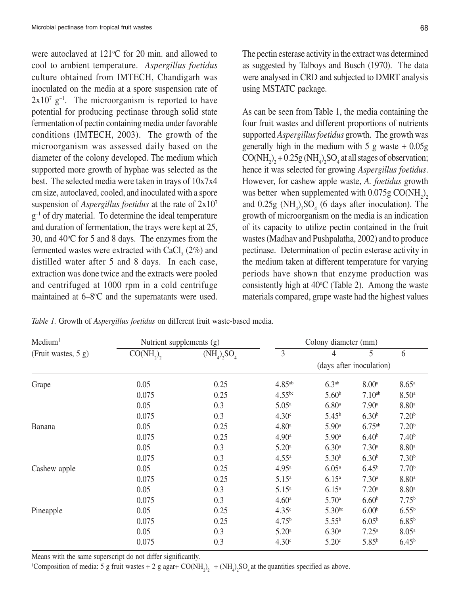were autoclaved at  $121^{\circ}$ C for 20 min. and allowed to cool to ambient temperature. *Aspergillus foetidus* culture obtained from IMTECH, Chandigarh was inoculated on the media at a spore suspension rate of  $2x10^7$  g<sup>-1</sup>. The microorganism is reported to have potential for producing pectinase through solid state fermentation of pectin containing media under favorable conditions (IMTECH, 2003). The growth of the microorganism was assessed daily based on the diameter of the colony developed. The medium which supported more growth of hyphae was selected as the best. The selected media were taken in trays of 10x7x4 cm size, autoclaved, cooled, and inoculated with a spore suspension of *Aspergillus foetidus* at the rate of 2x107  $g^{-1}$  of dry material. To determine the ideal temperature and duration of fermentation, the trays were kept at 25, 30, and  $40^{\circ}$ C for 5 and 8 days. The enzymes from the fermented wastes were extracted with  $\text{CaCl}_{_2} \left( 2\% \right)$  and distilled water after 5 and 8 days. In each case, extraction was done twice and the extracts were pooled and centrifuged at 1000 rpm in a cold centrifuge maintained at  $6 - 8$ °C and the supernatants were used.

The pectin esterase activity in the extract was determined as suggested by Talboys and Busch (1970). The data were analysed in CRD and subjected to DMRT analysis using MSTATC package.

As can be seen from Table 1, the media containing the four fruit wastes and different proportions of nutrients supported *Aspergillus foetidus* growth. The growth was generally high in the medium with  $5 \text{ g}$  waste  $+ 0.05 \text{ g}$  $\text{CO(NH}_2)_2 + 0.25 \text{g(NH}_4)_2 \text{SO}_4$  at all stages of observation; hence it was selected for growing *Aspergillus foetidus*. However, for cashew apple waste, *A. foetidus* growth was better when supplemented with  $0.075g$  CO(NH<sub>2</sub>)<sub>2</sub> and  $0.25g$  (NH<sub>4</sub>)<sub>2</sub>SO<sub>4</sub> (6 days after inoculation). The growth of microorganism on the media is an indication of its capacity to utilize pectin contained in the fruit wastes (Madhav and Pushpalatha, 2002) and to produce pectinase. Determination of pectin esterase activity in the medium taken at different temperature for varying periods have shown that enzyme production was consistently high at  $40^{\circ}$ C (Table 2). Among the waste materials compared, grape waste had the highest values

*Table 1.* Growth of *Aspergillus foetidus* on different fruit waste-based media.

| Median <sup>1</sup> | Nutrient supplements (g) |                          | Colony diameter (mm) |                   |                   |                   |
|---------------------|--------------------------|--------------------------|----------------------|-------------------|-------------------|-------------------|
| (Fruit wastes, 5 g) | $\overline{CO(NH_2)}$    | $(NH_4)_2SO_4$           | 3                    | 4                 | 5                 | 6                 |
|                     |                          | (days after inoculation) |                      |                   |                   |                   |
| Grape               | 0.05                     | 0.25                     | 4.85 <sup>ab</sup>   | 6.3 <sup>ab</sup> | 8.00 <sup>a</sup> | $8.65^{\rm a}$    |
|                     | 0.075                    | 0.25                     | $4.55^{bc}$          | 5.60 <sup>b</sup> | $7.10^{ab}$       | 8.50 <sup>a</sup> |
|                     | 0.05                     | 0.3                      | $5.05^{\rm a}$       | 6.80 <sup>a</sup> | 7.90a             | 8.80 <sup>a</sup> |
|                     | 0.075                    | 0.3                      | 4.30 <sup>c</sup>    | $5.45^{b}$        | 6.30 <sup>b</sup> | 7.20 <sup>b</sup> |
| Banana              | 0.05                     | 0.25                     | 4.80 <sup>a</sup>    | $5.90^{\rm a}$    | $6.75^{ab}$       | 7.20 <sup>b</sup> |
|                     | 0.075                    | 0.25                     | 4.90 <sup>a</sup>    | 5.90 <sup>a</sup> | 6.40 <sup>b</sup> | 7.40 <sup>b</sup> |
|                     | 0.05                     | 0.3                      | 5.20 <sup>a</sup>    | 6.30 <sup>a</sup> | 7.30 <sup>a</sup> | 8.80 <sup>a</sup> |
|                     | 0.075                    | 0.3                      | $4.55^{\rm a}$       | 5.30 <sup>b</sup> | 6.30 <sup>b</sup> | 7.30 <sup>b</sup> |
| Cashew apple        | 0.05                     | 0.25                     | $4.95^{\rm a}$       | 6.05 <sup>a</sup> | $6.45^{b}$        | 7.70 <sup>b</sup> |
|                     | 0.075                    | 0.25                     | $5.15^{a}$           | $6.15^{a}$        | 7.30 <sup>a</sup> | 8.80 <sup>a</sup> |
|                     | 0.05                     | 0.3                      | $5.15^{a}$           | $6.15^{a}$        | 7.20a             | 8.80 <sup>a</sup> |
|                     | 0.075                    | 0.3                      | 4.60 <sup>a</sup>    | 5.70a             | 6.60 <sup>b</sup> | 7.75 <sup>b</sup> |
| Pineapple           | 0.05                     | 0.25                     | 4.35 <sup>c</sup>    | $5.30^{bc}$       | 6.00 <sup>b</sup> | $6.55^{b}$        |
|                     | 0.075                    | 0.25                     | 4.75 <sup>b</sup>    | $5.55^{b}$        | $6.05^{b}$        | $6.85^{b}$        |
|                     | 0.05                     | 0.3                      | 5.20 <sup>a</sup>    | 6.30 <sup>a</sup> | $7.25^{\rm a}$    | 8.05 <sup>a</sup> |
|                     | 0.075                    | 0.3                      | 4.30 <sup>c</sup>    | 5.20 <sup>c</sup> | $5.85^{b}$        | $6.45^{\rm b}$    |

Means with the same superscript do not differ significantly.

<sup>1</sup>Composition of media: 5 g fruit wastes + 2 g agar+  $CO(NH_2)_2$  +  $(NH_4)_2SO_4$  at the quantities specified as above.